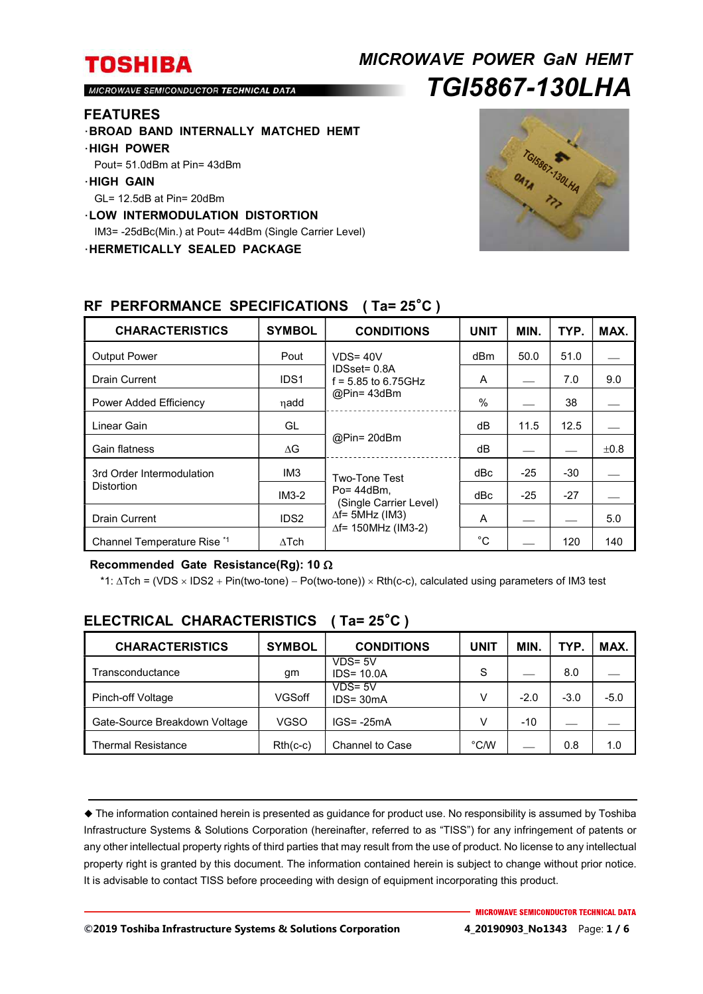## *MICROWAVE POWER GaN HEMT TGI5867-130LHA*

MICROWAVE SEMICONDUCTOR TECHNICAL DATA

#### **FEATURES**

- ・**BROAD BAND INTERNALLY MATCHED HEMT**
- ・**HIGH POWER**
- Pout= 51.0dBm at Pin= 43dBm
- ・**HIGH GAIN**
- GL= 12.5dB at Pin= 20dBm
- ・**LOW INTERMODULATION DISTORTION**

IM3= -25dBc(Min.) at Pout= 44dBm (Single Carrier Level)

・**HERMETICALLY SEALED PACKAGE** 



| <b>CHARACTERISTICS</b>                         | <b>SYMBOL</b>    | <b>CONDITIONS</b>                                                                                                   | <b>UNIT</b> | MIN.  | TYP.  | MAX.      |
|------------------------------------------------|------------------|---------------------------------------------------------------------------------------------------------------------|-------------|-------|-------|-----------|
| <b>Output Power</b>                            | Pout             | $VDS = 40V$<br>IDSset= 0.8A<br>$f = 5.85$ to 6.75GHz<br>@Pin=43dBm                                                  | dBm         | 50.0  | 51.0  |           |
| Drain Current                                  | IDS <sub>1</sub> |                                                                                                                     | A           |       | 7.0   | 9.0       |
| Power Added Efficiency                         | ηadd             |                                                                                                                     | $\%$        |       | 38    |           |
| Linear Gain                                    | GL               | @Pin= 20dBm                                                                                                         | dB          | 11.5  | 12.5  |           |
| Gain flatness                                  | $\Delta G$       |                                                                                                                     | dB          |       |       | $\pm 0.8$ |
| 3rd Order Intermodulation<br><b>Distortion</b> | IM <sub>3</sub>  | Two-Tone Test<br>$Po = 44dBm$ .<br>(Single Carrier Level)<br>$\Delta f$ = 5MHz (IM3)<br>$\Delta f$ = 150MHz (IM3-2) | dBc         | $-25$ | $-30$ |           |
|                                                | $IM3-2$          |                                                                                                                     | dBc         | $-25$ | $-27$ |           |
| <b>Drain Current</b>                           | IDS <sub>2</sub> |                                                                                                                     | A           |       |       | 5.0       |
| Channel Temperature Rise *1                    | $\Delta$ Tch     |                                                                                                                     | $^{\circ}C$ |       | 120   | 140       |

#### **RF PERFORMANCE SPECIFICATIONS ( Ta= 25**°**C )**

#### **Recommended Gate Resistance(Rg): 10**

\*1:  $\Delta Tch$  = (VDS  $\times$  IDS2 + Pin(two-tone) – Po(two-tone))  $\times$  Rth(c-c), calculated using parameters of IM3 test

| <b>CHARACTERISTICS</b>        | <b>SYMBOL</b> | <b>CONDITIONS</b>           | <b>UNIT</b> | <b>MIN</b> | <b>TYP</b> | MAX.   |
|-------------------------------|---------------|-----------------------------|-------------|------------|------------|--------|
| Transconductance              | gm            | $VDS = 5V$<br>$IDS = 10.0A$ | S           |            | 8.0        |        |
| Pinch-off Voltage             | VGSoff        | $VDS = 5V$<br>$IDS = 30mA$  | V           | $-2.0$     | $-3.0$     | $-5.0$ |
| Gate-Source Breakdown Voltage | <b>VGSO</b>   | $IGS = -25mA$               | v           | $-10$      |            |        |
| <b>Thermal Resistance</b>     | $Rth(c-c)$    | Channel to Case             | °C/W        |            | 0.8        | 1.0    |

### **ELECTRICAL CHARACTERISTICS ( Ta= 25**°**C )**

 The information contained herein is presented as guidance for product use. No responsibility is assumed by Toshiba Infrastructure Systems & Solutions Corporation (hereinafter, referred to as "TISS") for any infringement of patents or any other intellectual property rights of third parties that may result from the use of product. No license to any intellectual property right is granted by this document. The information contained herein is subject to change without prior notice. It is advisable to contact TISS before proceeding with design of equipment incorporating this product.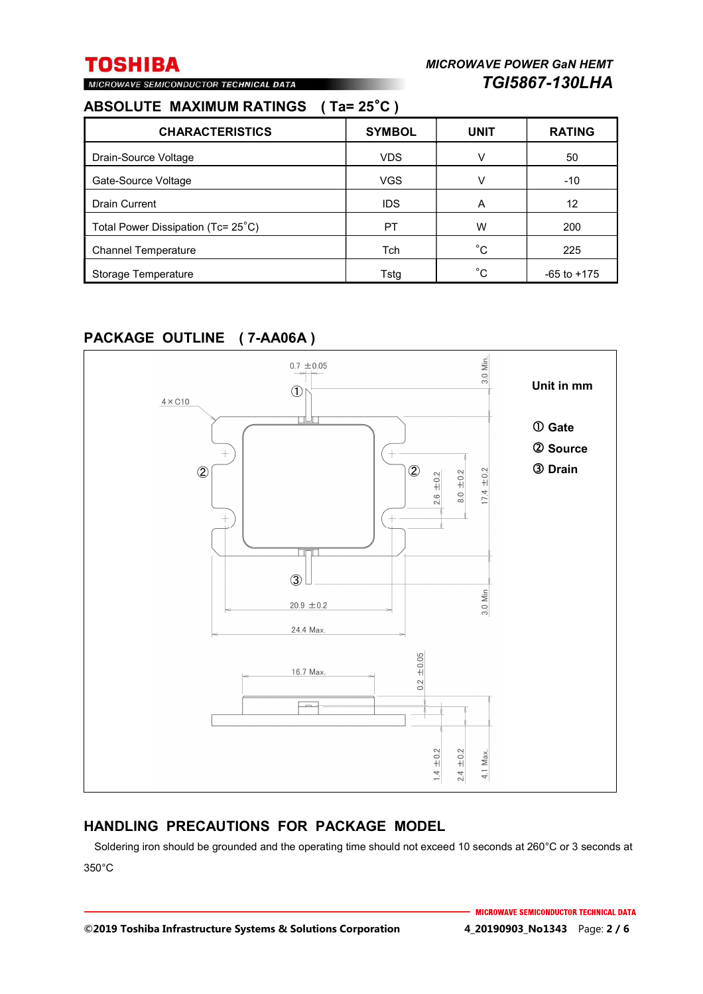## **ABSOLUTE MAXIMUM RATINGS ( Ta= 25**°**C )**

MICROWAVE SEMICONDUCTOR TECHNICAL DATA

| <b>CHARACTERISTICS</b>             | <b>SYMBOL</b> | <b>UNIT</b> | <b>RATING</b>   |
|------------------------------------|---------------|-------------|-----------------|
| Drain-Source Voltage               | <b>VDS</b>    | v           | 50              |
| Gate-Source Voltage                | <b>VGS</b>    | v           | $-10$           |
| <b>Drain Current</b>               | <b>IDS</b>    | A           | 12              |
| Total Power Dissipation (Tc= 25°C) | PT            | W           | 200             |
| <b>Channel Temperature</b>         | Tch           | °С          | 225             |
| Storage Temperature                | Tstg          | °C          | $-65$ to $+175$ |

### **PACKAGE OUTLINE ( 7-AA06A )**



### **HANDLING PRECAUTIONS FOR PACKAGE MODEL**

Soldering iron should be grounded and the operating time should not exceed 10 seconds at 260°C or 3 seconds at 350°C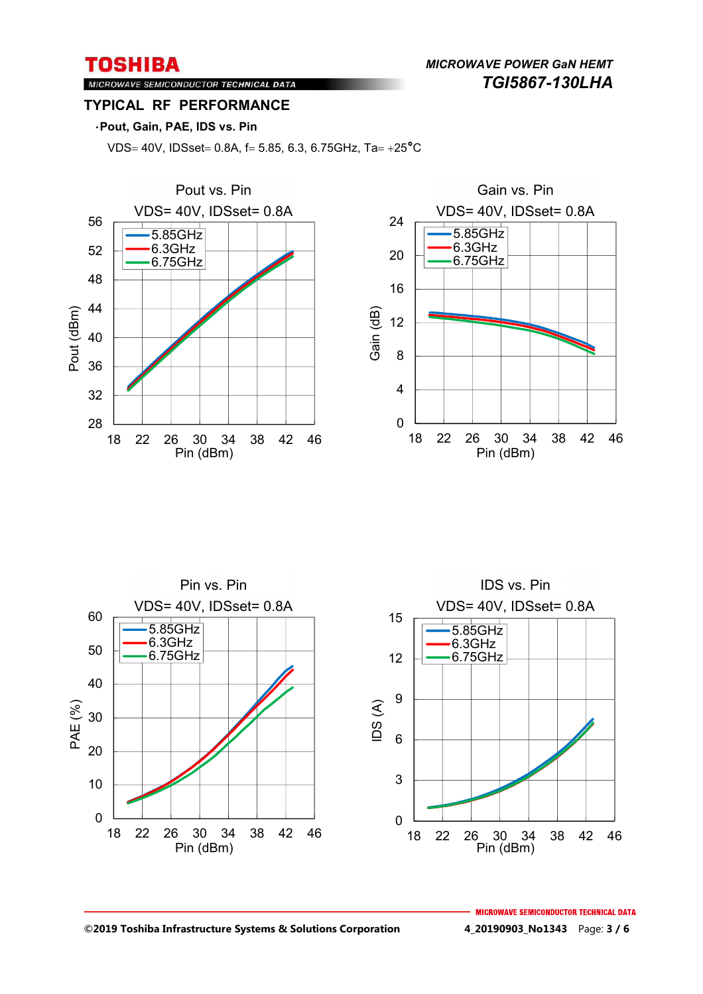*MICROWAVE POWER GaN HEMT TGI5867-130LHA* 

### MICROWAVE SEMICONDUCTOR TECHNICAL DATA **TYPICAL RF PERFORMANCE**

#### ・**Pout, Gain, PAE, IDS vs. Pin**

VDS= 40V, IDSset= 0.8A, f= 5.85, 6.3, 6.75GHz, Ta=  $+25^{\circ}$ C







**©2019 Toshiba Infrastructure Systems & Solutions Corporation 4\_20190903\_No1343** Page: **3 / 6**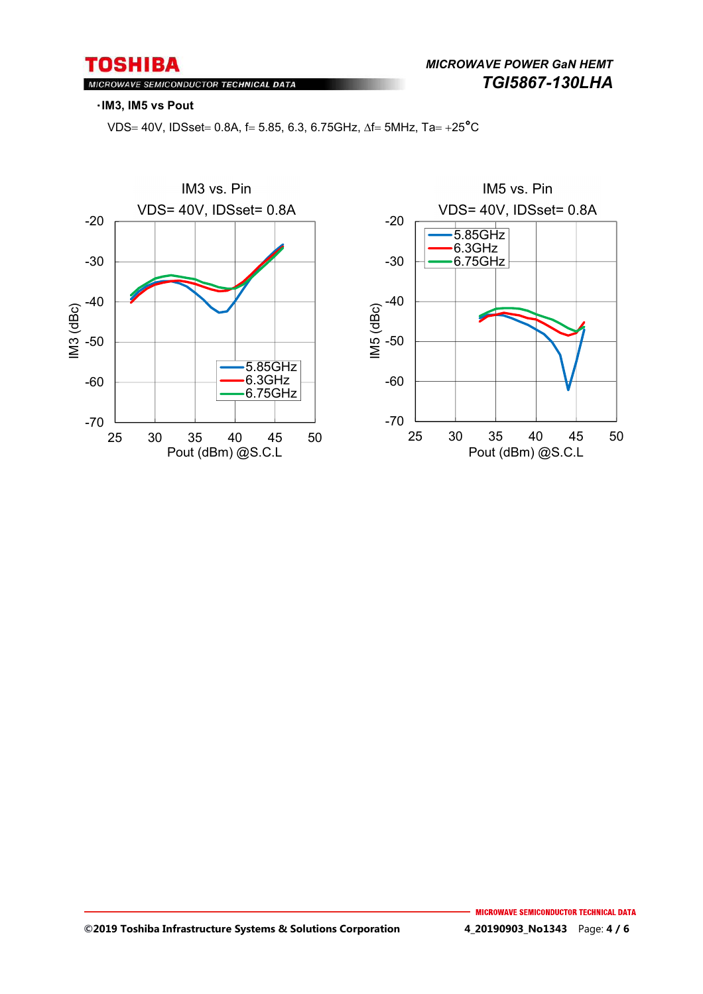#### MICROWAVE SEMICONDUCTOR TECHNICAL DATA

#### ・**IM3, IM5 vs Pout**

VDS= 40V, IDSset= 0.8A, f= 5.85, 6.3, 6.75GHz,  $\Delta f = 5MHz$ , Ta = +25°C

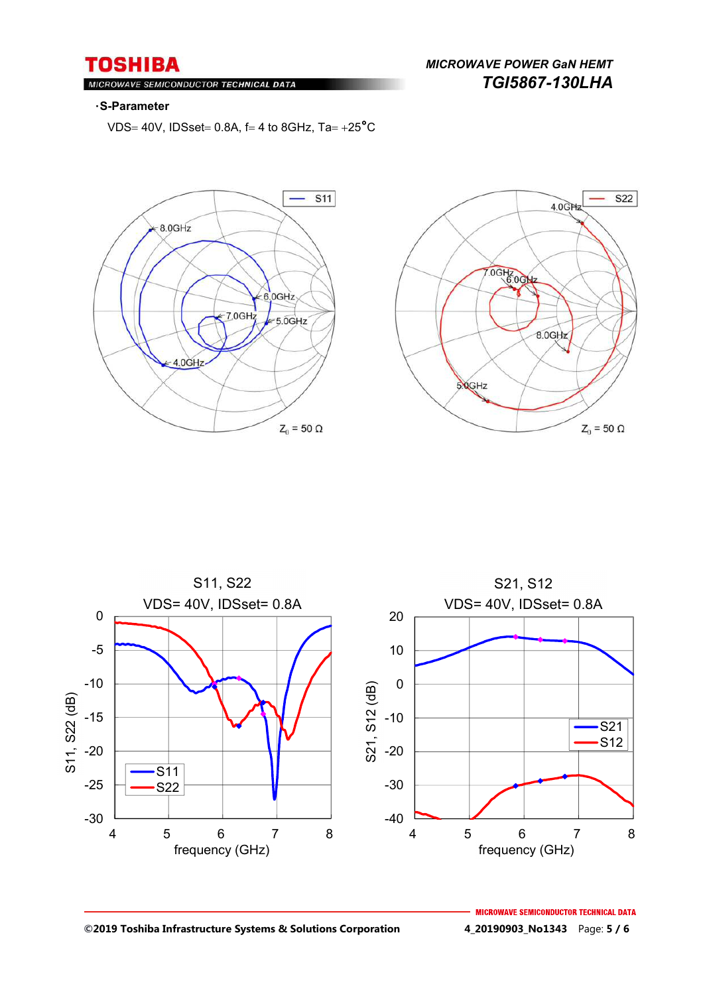MICROWAVE SEMICONDUCTOR TECHNICAL DATA

### *MICROWAVE POWER GaN HEMT TGI5867-130LHA*

#### ・**S-Parameter**

VDS= 40V, IDSset = 0.8A,  $f = 4$  to 8GHz,  $Ta = +25^{\circ}C$ 







**©2019 Toshiba Infrastructure Systems & Solutions Corporation 4\_20190903\_No1343** Page: **5 / 6**

**MICROWAVE SEMICONDUCTOR TECHNICAL DATA**